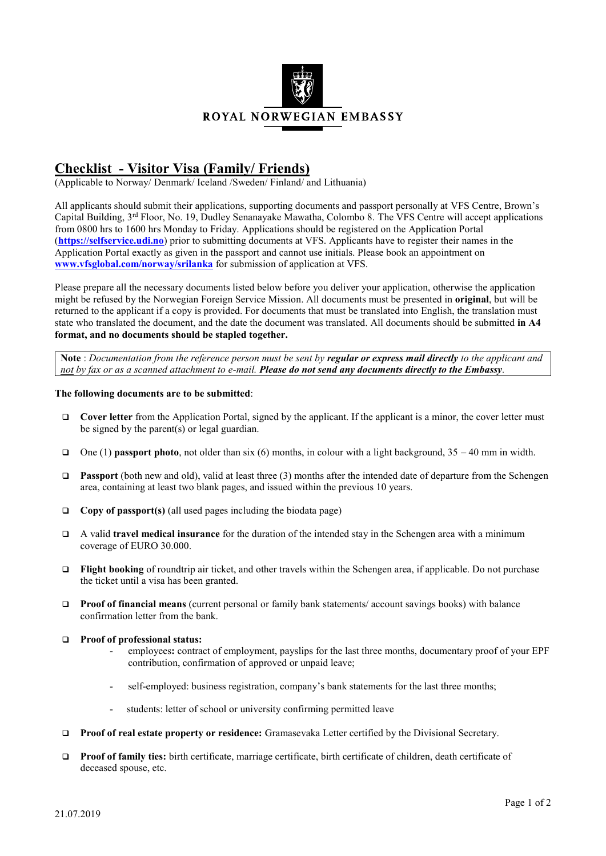

## **Checklist - Visitor Visa (Family/ Friends)**

(Applicable to Norway/ Denmark/ Iceland /Sweden/ Finland/ and Lithuania)

All applicants should submit their applications, supporting documents and passport personally at VFS Centre, Brown's Capital Building,  $3^{rd}$  Floor, No. 19, Dudley Senanayake Mawatha, Colombo 8. The VFS Centre will accept applications from 0800 hrs to 1600 hrs Monday to Friday. Applications should be registered on the Application Portal (**[https://selfservice.udi.no](https://selfservice.udi.no/)**) prior to submitting documents at VFS. Applicants have to register their names in the Application Portal exactly as given in the passport and cannot use initials. Please book an appointment on **[www.vfsglobal.com/norway/srilanka](http://www.vfsglobal.com/norway/srilanka)** for submission of application at VFS.

Please prepare all the necessary documents listed below before you deliver your application, otherwise the application might be refused by the Norwegian Foreign Service Mission. All documents must be presented in **original**, but will be returned to the applicant if a copy is provided. For documents that must be translated into English, the translation must state who translated the document, and the date the document was translated. All documents should be submitted **in A4 format, and no documents should be stapled together.**

**Note** : *Documentation from the reference person must be sent by regular or express mail directly to the applicant and not by fax or as a scanned attachment to e-mail. Please do not send any documents directly to the Embassy.*

## **The following documents are to be submitted**:

- **Cover letter** from the Application Portal, signed by the applicant. If the applicant is a minor, the cover letter must be signed by the parent(s) or legal guardian.
- One (1) **passport photo**, not older than six (6) months, in colour with a light background, 35 40 mm in width.
- **Passport** (both new and old), valid at least three (3) months after the intended date of departure from the Schengen area, containing at least two blank pages, and issued within the previous 10 years.
- **Copy of passport(s)** (all used pages including the biodata page)
- A valid **travel medical insurance** for the duration of the intended stay in the Schengen area with a minimum coverage of EURO 30.000.
- **Flight booking** of roundtrip air ticket, and other travels within the Schengen area, if applicable. Do not purchase the ticket until a visa has been granted.
- **Proof of financial means** (current personal or family bank statements/ account savings books) with balance confirmation letter from the bank.
- **Proof of professional status:**
	- employees**:** contract of employment, payslips for the last three months, documentary proof of your EPF contribution, confirmation of approved or unpaid leave;
	- self-employed: business registration, company's bank statements for the last three months;
	- students: letter of school or university confirming permitted leave
- **Proof of real estate property or residence:** Gramasevaka Letter certified by the Divisional Secretary.
- **Proof of family ties:** birth certificate, marriage certificate, birth certificate of children, death certificate of deceased spouse, etc.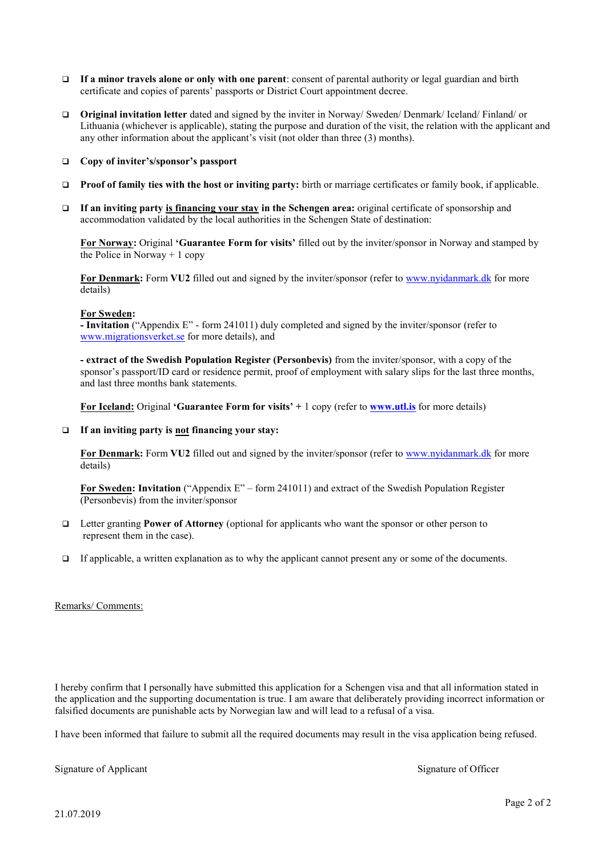- **If a minor travels alone or only with one parent**: consent of parental authority or legal guardian and birth certificate and copies of parents' passports or District Court appointment decree.
- **Original invitation letter** dated and signed by the inviter in Norway/ Sweden/ Denmark/ Iceland/ Finland/ or Lithuania (whichever is applicable), stating the purpose and duration of the visit, the relation with the applicant and any other information about the applicant's visit (not older than three (3) months).
- **Copy of inviter's/sponsor's passport**
- **Proof of family ties with the host or inviting party:** birth or marriage certificates or family book, if applicable.
- **If an inviting party is financing your stay in the Schengen area:** original certificate of sponsorship and accommodation validated by the local authorities in the Schengen State of destination:

**For Norway:** Original **'Guarantee Form for visits'** filled out by the inviter/sponsor in Norway and stamped by the Police in Norway  $+1$  copy

**For Denmark:** Form **VU2** filled out and signed by the inviter/sponsor (refer t[o www.nyidanmark.dk](http://www.nyidanmark.dk/) for more details)

## **For Sweden:**

**- Invitation** ("Appendix E" - form 241011) duly completed and signed by the inviter/sponsor (refer to [www.migrationsverket.se](http://www.migrationsverket.se/) for more details), and

**- extract of the Swedish Population Register (Personbevis)** from the inviter/sponsor, with a copy of the sponsor's passport/ID card or residence permit, proof of employment with salary slips for the last three months, and last three months bank statements.

**For Iceland:** Original **'Guarantee Form for visits' +** 1 copy (refer to **[www.utl.is](http://www.utl.is/)** for more details)

**If an inviting party is not financing your stay:**

**For Denmark:** Form **VU2** filled out and signed by the inviter/sponsor (refer t[o www.nyidanmark.dk](http://www.nyidanmark.dk/) for more details)

**For Sweden: Invitation** ("Appendix E" – form 241011) and extract of the Swedish Population Register (Personbevis) from the inviter/sponsor

- Letter granting **Power of Attorney** (optional for applicants who want the sponsor or other person to represent them in the case).
- $\Box$  If applicable, a written explanation as to why the applicant cannot present any or some of the documents.

## Remarks/ Comments:

I hereby confirm that I personally have submitted this application for a Schengen visa and that all information stated in the application and the supporting documentation is true. I am aware that deliberately providing incorrect information or falsified documents are punishable acts by Norwegian law and will lead to a refusal of a visa.

I have been informed that failure to submit all the required documents may result in the visa application being refused.

Signature of Applicant Signature of Officer